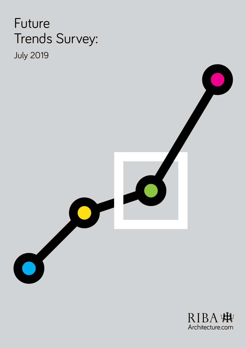# Future Trends Survey: July 2019

 $\bullet$ 

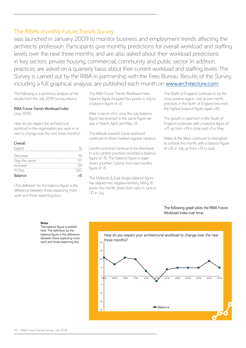## The RIBA's monthly Future Trends Survey

was launched in January 2009 to monitor business and employment trends affecting the architects' profession. Participants give monthly predictions for overall workload and staffing levels over the next three months, and are also asked about their workload predictions in key sectors: private housing, commercial, community and public sector. In addition, practices are asked on a quarterly basis about their current workload and staffing levels. The Survey is carried out by the RIBA in partnership with the Fees Bureau. Results of the Survey, including a full graphical analysis, are published each month on [www.architecture.com](http://www.architecture.com)

The following is a summary analysis of the results from the July 2019 Survey returns.

#### RIBA Future Trends Workload Index (July 2019)

How do you expect the architectural workload in the organisation you work in or own to change over the next three months?

#### Overall

| Expect        |               |
|---------------|---------------|
| Decrease      |               |
| Stay the same |               |
| Increase      |               |
| <b>TOTAL</b>  | $1 \cap \cap$ |
| Balance       |               |

(The definition for the balance figure is the difference between those expecting more work and those expecting less.)

The RIBA Future Trends Workload Index balance figure dropped four points in July, to a balance figure of +5.

After a rise to +9 in June, the July balance figure has reverted to the same figure we saw in March, April, and May: +5.

The attitude towards future workload continues to show marked regional variance.

London practices continue to be downbeat. In July, London practices recorded a balance figure of -15. This balance figure is again down; a further 7 points from last month's figure of -8.

The Midlands & East Anglia balance figure has slipped into negative territory, falling 10 points this month, down from zero in June to -10 in July.

The North of England continues to be the most positive region. Just as last month practices in the North of England returned the highest balance figure, again +39.

The growth in optimism in the South of England continues, with a balance figure of +21, up from +19 in June, and +3 in May.

Wales & the West continued to strengthen its outlook this month, with a balance figure of +15, in July, up from +13 in June.

### The following graph plots the RIBA Future Workload index over time:

#### **Notes**

The balance figure is plotted here. The definition for the balance figure is the difference between those expecting more work and those expecting less.

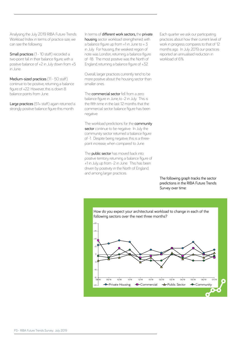Analysing the July 2019 RIBA Future Trends Workload Index in terms of practice size, we can see the following:

Small practices (1 - 10 staff) recorded a two-point fall in their balance figure, with a positive balance of +2 in July down from +5 in June.

Medium-sized practices (11 - 50 staff) continue to be positive, returning a balance figure of +22. However, this is down 8 balance points from June.

Large practices (51+ staff) again returned a strongly positive balance figure this month.

In terms of different work sectors, the private housing sector workload strengthened, with a balance figure up from  $+1$  in June to  $+3$ in July. For housing, the weakest region of note was London, returning a balance figure of -18. The most positive was the North of

Overall, larger practices currently tend to be more positive about the housing sector than smaller ones.

England, returning a balance figure of +32.

The commercial sector fell from a zero balance figure in June, to -2 in July. This is the fifth time in the last 12 months that the commercial sector balance figure has been negative.

The workload predictions for the community sector continue to be negative. In July the community sector returned a balance figure of -1. Despite being negative, this is a threepoint increase, when compared to June.

The **public sector** has moved back into positive territory, returning a balance figure of +1 in July, up from -2 in June. This has been driven by positivity in the North of England, and among larger practices.

Each quarter we ask our participating practices about how their current level of work in progress compares to that of 12 months ago. In July 2019, our practices reported an annualised reduction in workload of 6%.

The following graph tracks the sector predictions in the RIBA Future Trends Survey over time:



How do you expect your architectural workload to change in each of the